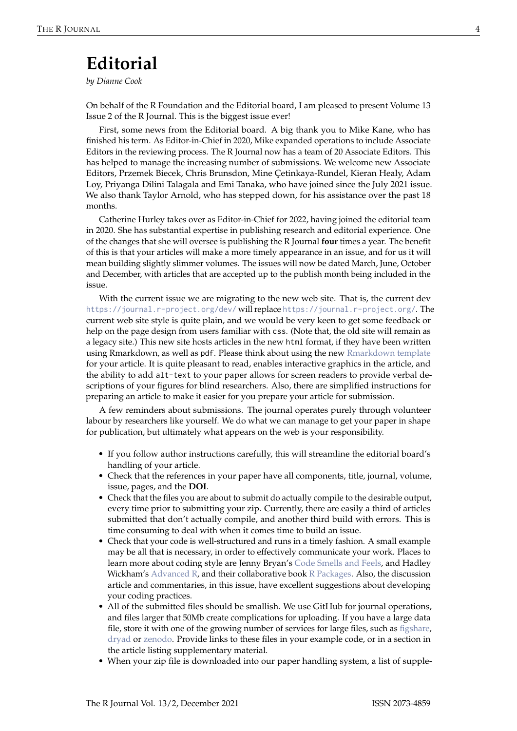## **Editorial**

*by Dianne Cook*

On behalf of the R Foundation and the Editorial board, I am pleased to present Volume 13 Issue 2 of the R Journal. This is the biggest issue ever!

First, some news from the Editorial board. A big thank you to Mike Kane, who has finished his term. As Editor-in-Chief in 2020, Mike expanded operations to include Associate Editors in the reviewing process. The R Journal now has a team of 20 Associate Editors. This has helped to manage the increasing number of submissions. We welcome new Associate Editors, Przemek Biecek, Chris Brunsdon, Mine Çetinkaya-Rundel, Kieran Healy, Adam Loy, Priyanga Dilini Talagala and Emi Tanaka, who have joined since the July 2021 issue. We also thank Taylor Arnold, who has stepped down, for his assistance over the past 18 months.

Catherine Hurley takes over as Editor-in-Chief for 2022, having joined the editorial team in 2020. She has substantial expertise in publishing research and editorial experience. One of the changes that she will oversee is publishing the R Journal **four** times a year. The benefit of this is that your articles will make a more timely appearance in an issue, and for us it will mean building slightly slimmer volumes. The issues will now be dated March, June, October and December, with articles that are accepted up to the publish month being included in the issue.

With the current issue we are migrating to the new web site. That is, the current dev <https://journal.r-project.org/dev/> will replace <https://journal.r-project.org/>. The current web site style is quite plain, and we would be very keen to get some feedback or help on the page design from users familiar with css. (Note that, the old site will remain as a legacy site.) This new site hosts articles in the new html format, if they have been written using Rmarkdown, as well as pdf. Please think about using the new [Rmarkdown template](https://rjournal.github.io/rjtools/index.html) for your article. It is quite pleasant to read, enables interactive graphics in the article, and the ability to add alt-text to your paper allows for screen readers to provide verbal descriptions of your figures for blind researchers. Also, there are simplified instructions for preparing an article to make it easier for you prepare your article for submission.

A few reminders about submissions. The journal operates purely through volunteer labour by researchers like yourself. We do what we can manage to get your paper in shape for publication, but ultimately what appears on the web is your responsibility.

- If you follow author instructions carefully, this will streamline the editorial board's handling of your article.
- Check that the references in your paper have all components, title, journal, volume, issue, pages, and the **DOI**.
- Check that the files you are about to submit do actually compile to the desirable output, every time prior to submitting your zip. Currently, there are easily a third of articles submitted that don't actually compile, and another third build with errors. This is time consuming to deal with when it comes time to build an issue.
- Check that your code is well-structured and runs in a timely fashion. A small example may be all that is necessary, in order to effectively communicate your work. Places to learn more about coding style are Jenny Bryan's [Code Smells and Feels,](https://github.com/jennybc/code-smells-and-feels) and Hadley Wickham's [Advanced R,](http://adv-r.had.co.nz) and their collaborative book [R Packages.](https://r-pkgs.org) Also, the discussion article and commentaries, in this issue, have excellent suggestions about developing your coding practices.
- All of the submitted files should be smallish. We use GitHub for journal operations, and files larger that 50Mb create complications for uploading. If you have a large data file, store it with one of the growing number of services for large files, such as [figshare,](https://figshare.com) [dryad](http://datadryad.org/) or [zenodo.](https://zenodo.org) Provide links to these files in your example code, or in a section in the article listing supplementary material.
- When your zip file is downloaded into our paper handling system, a list of supple-